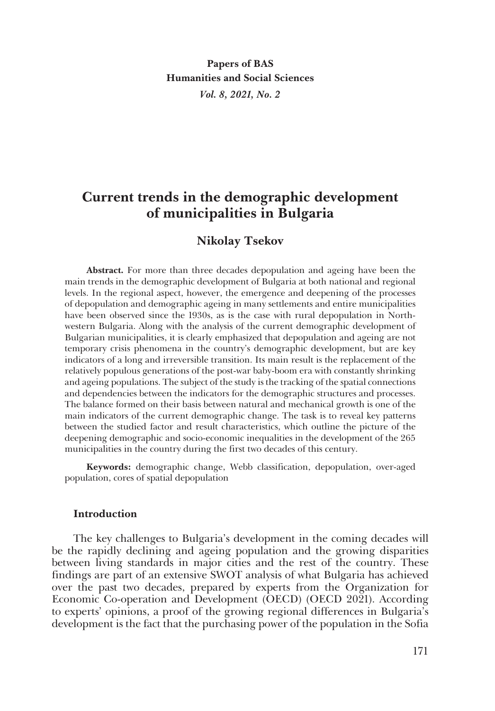**Papers of BAS Humanities and Social Sciences** *Vol. 8, 2021, No. 2*

# **Current trends in the demographic development of municipalities in Bulgaria**

# **Nikolay Tsekov**

**Abstract.** For more than three decades depopulation and ageing have been the main trends in the demographic development of Bulgaria at both national and regional levels. In the regional aspect, however, the emergence and deepening of the processes of depopulation and demographic ageing in many settlements and entire municipalities have been observed since the 1930s, as is the case with rural depopulation in Northwestern Bulgaria. Along with the analysis of the current demographic development of Bulgarian municipalities, it is clearly emphasized that depopulation and ageing are not temporary crisis phenomena in the country's demographic development, but are key indicators of a long and irreversible transition. Its main result is the replacement of the relatively populous generations of the post-war baby-boom era with constantly shrinking and ageing populations. The subject of the study is the tracking of the spatial connections and dependencies between the indicators for the demographic structures and processes. The balance formed on their basis between natural and mechanical growth is one of the main indicators of the current demographic change. The task is to reveal key patterns between the studied factor and result characteristics, which outline the picture of the deepening demographic and socio-economic inequalities in the development of the 265 municipalities in the country during the first two decades of this century.

**Keywords:** demographic change, Webb classification, depopulation, over-aged population, cores of spatial depopulation

#### **Introduction**

The key challenges to Bulgaria's development in the coming decades will be the rapidly declining and ageing population and the growing disparities between living standards in major cities and the rest of the country. These findings are part of an extensive SWOT analysis of what Bulgaria has achieved over the past two decades, prepared by experts from the Organization for Economic Co-operation and Development (OECD) (OECD 2021). According to experts' opinions, a proof of the growing regional differences in Bulgaria's development is the fact that the purchasing power of the population in the Sofia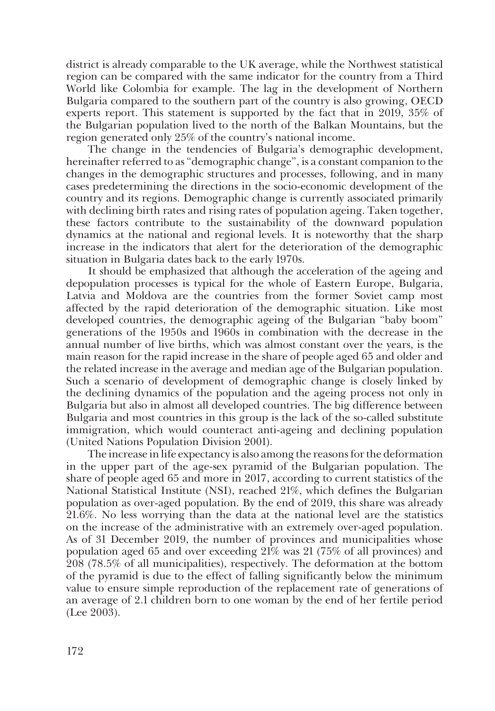district is already comparable to the UK average, while the Northwest statistical region can be compared with the same indicator for the country from a Third World like Colombia for example. The lag in the development of Northern Bulgaria compared to the southern part of the country is also growing, OECD experts report. This statement is supported by the fact that in 2019, 35% of the Bulgarian population lived to the north of the Balkan Mountains, but the region generated only 25% of the country's national income.

The change in the tendencies of Bulgaria's demographic development, hereinafter referred to as "demographic change", is a constant companion to the changes in the demographic structures and processes, following, and in many cases predetermining the directions in the socio-economic development of the country and its regions. Demographic change is currently associated primarily with declining birth rates and rising rates of population ageing. Taken together, these factors contribute to the sustainability of the downward population dynamics at the national and regional levels. It is noteworthy that the sharp increase in the indicators that alert for the deterioration of the demographic situation in Bulgaria dates back to the early 1970s.

It should be emphasized that although the acceleration of the ageing and depopulation processes is typical for the whole of Eastern Europe, Bulgaria, Latvia and Moldova are the countries from the former Soviet camp most affected by the rapid deterioration of the demographic situation. Like most developed countries, the demographic ageing of the Bulgarian "baby boom" generations of the 1950s and 1960s in combination with the decrease in the annual number of live births, which was almost constant over the years, is the main reason for the rapid increase in the share of people aged 65 and older and the related increase in the average and median age of the Bulgarian population. Such a scenario of development of demographic change is closely linked by the declining dynamics of the population and the ageing process not only in Bulgaria but also in almost all developed countries. The big difference between Bulgaria and most countries in this group is the lack of the so-called substitute immigration, which would counteract anti-ageing and declining population (United Nations Population Division 2001).

The increase in life expectancy is also among the reasons for the deformation in the upper part of the age-sex pyramid of the Bulgarian population. The share of people aged 65 and more in 2017, according to current statistics of the National Statistical Institute (NSI), reached 21%, which defines the Bulgarian population as over-aged population. By the end of 2019, this share was already 21.6%. No less worrying than the data at the national level are the statistics on the increase of the administrative with an extremely over-aged population. As of 31 December 2019, the number of provinces and municipalities whose population aged 65 and over exceeding 21% was 21 (75% of all provinces) and 208 (78.5% of all municipalities), respectively. The deformation at the bottom of the pyramid is due to the effect of falling significantly below the minimum value to ensure simple reproduction of the replacement rate of generations of an average of 2.1 children born to one woman by the end of her fertile period (Lee 2003).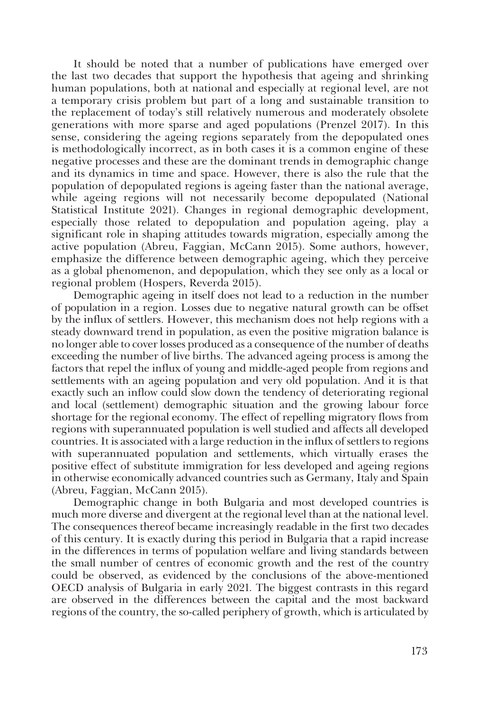It should be noted that a number of publications have emerged over the last two decades that support the hypothesis that ageing and shrinking human populations, both at national and especially at regional level, are not a temporary crisis problem but part of a long and sustainable transition to the replacement of today's still relatively numerous and moderately obsolete generations with more sparse and aged populations (Prenzel 2017). In this sense, considering the ageing regions separately from the depopulated ones is methodologically incorrect, as in both cases it is a common engine of these negative processes and these are the dominant trends in demographic change and its dynamics in time and space. However, there is also the rule that the population of depopulated regions is ageing faster than the national average, while ageing regions will not necessarily become depopulated (National Statistical Institute 2021). Changes in regional demographic development, especially those related to depopulation and population ageing, play a significant role in shaping attitudes towards migration, especially among the active population (Abreu, Faggian, McCann 2015). Some authors, however, emphasize the difference between demographic ageing, which they perceive as a global phenomenon, and depopulation, which they see only as a local or regional problem (Hospers, Reverda 2015).

Demographic ageing in itself does not lead to a reduction in the number of population in a region. Losses due to negative natural growth can be offset by the influx of settlers. However, this mechanism does not help regions with a steady downward trend in population, as even the positive migration balance is no longer able to cover losses produced as a consequence of the number of deaths exceeding the number of live births. The advanced ageing process is among the factors that repel the influx of young and middle-aged people from regions and settlements with an ageing population and very old population. And it is that exactly such an inflow could slow down the tendency of deteriorating regional and local (settlement) demographic situation and the growing labour force shortage for the regional economy. The effect of repelling migratory flows from regions with superannuated population is well studied and affects all developed countries. It is associated with a large reduction in the influx of settlers to regions with superannuated population and settlements, which virtually erases the positive effect of substitute immigration for less developed and ageing regions in otherwise economically advanced countries such as Germany, Italy and Spain (Abreu, Faggian, McCann 2015).

Demographic change in both Bulgaria and most developed countries is much more diverse and divergent at the regional level than at the national level. The consequences thereof became increasingly readable in the first two decades of this century. It is exactly during this period in Bulgaria that a rapid increase in the differences in terms of population welfare and living standards between the small number of centres of economic growth and the rest of the country could be observed, as evidenced by the conclusions of the above-mentioned OECD analysis of Bulgaria in early 2021. The biggest contrasts in this regard are observed in the differences between the capital and the most backward regions of the country, the so-called periphery of growth, which is articulated by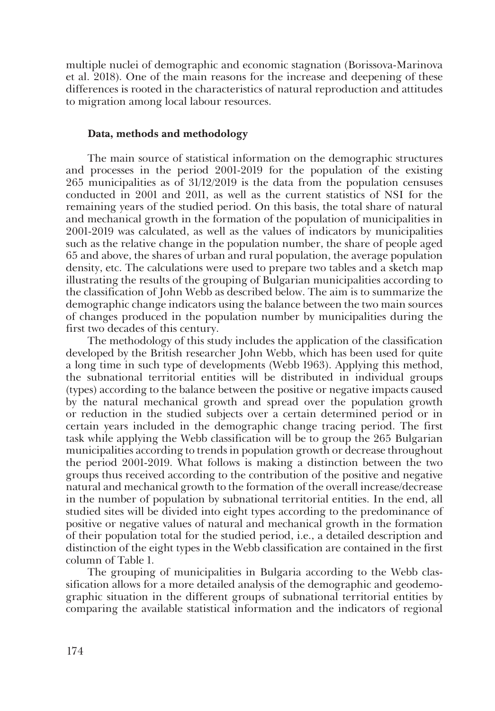multiple nuclei of demographic and economic stagnation (Borissova-Marinova et al. 2018). One of the main reasons for the increase and deepening of these differences is rooted in the characteristics of natural reproduction and attitudes to migration among local labour resources.

#### **Data, methods and methodology**

The main source of statistical information on the demographic structures and processes in the period 2001-2019 for the population of the existing 265 municipalities as of 31/12/2019 is the data from the population censuses conducted in 2001 and 2011, as well as the current statistics of NSI for the remaining years of the studied period. On this basis, the total share of natural and mechanical growth in the formation of the population of municipalities in 2001-2019 was calculated, as well as the values of indicators by municipalities such as the relative change in the population number, the share of people aged 65 and above, the shares of urban and rural population, the average population density, etc. The calculations were used to prepare two tables and a sketch map illustrating the results of the grouping of Bulgarian municipalities according to the classification of John Webb as described below. The aim is to summarize the demographic change indicators using the balance between the two main sources of changes produced in the population number by municipalities during the first two decades of this century.

The methodology of this study includes the application of the classification developed by the British researcher John Webb, which has been used for quite a long time in such type of developments (Webb 1963). Applying this method, the subnational territorial entities will be distributed in individual groups (types) according to the balance between the positive or negative impacts caused by the natural mechanical growth and spread over the population growth or reduction in the studied subjects over a certain determined period or in certain years included in the demographic change tracing period. The first task while applying the Webb classification will be to group the 265 Bulgarian municipalities according to trends in population growth or decrease throughout the period 2001-2019. What follows is making a distinction between the two groups thus received according to the contribution of the positive and negative natural and mechanical growth to the formation of the overall increase/decrease in the number of population by subnational territorial entities. In the end, all studied sites will be divided into eight types according to the predominance of positive or negative values of natural and mechanical growth in the formation of their population total for the studied period, i.e., a detailed description and distinction of the eight types in the Webb classification are contained in the first column of Table 1.

The grouping of municipalities in Bulgaria according to the Webb classification allows for a more detailed analysis of the demographic and geodemographic situation in the different groups of subnational territorial entities by comparing the available statistical information and the indicators of regional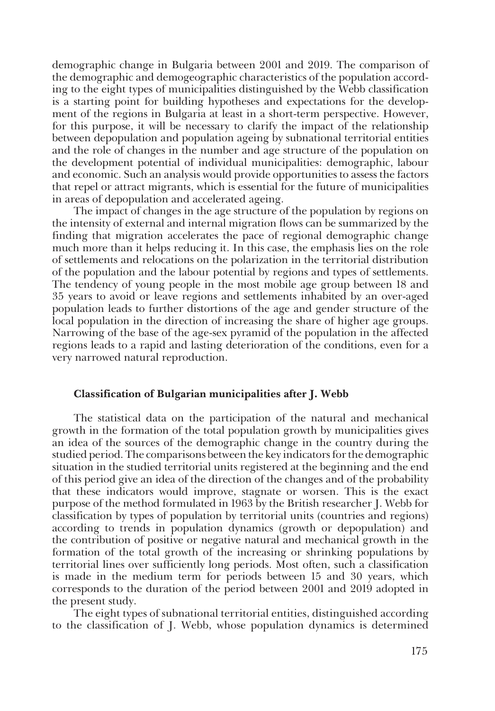demographic change in Bulgaria between 2001 and 2019. The comparison of the demographic and demogeographic characteristics of the population according to the eight types of municipalities distinguished by the Webb classification is a starting point for building hypotheses and expectations for the development of the regions in Bulgaria at least in a short-term perspective. However, for this purpose, it will be necessary to clarify the impact of the relationship between depopulation and population ageing by subnational territorial entities and the role of changes in the number and age structure of the population on the development potential of individual municipalities: demographic, labour and economic. Such an analysis would provide opportunities to assess the factors that repel or attract migrants, which is essential for the future of municipalities in areas of depopulation and accelerated ageing.

The impact of changes in the age structure of the population by regions on the intensity of external and internal migration flows can be summarized by the finding that migration accelerates the pace of regional demographic change much more than it helps reducing it. In this case, the emphasis lies on the role of settlements and relocations on the polarization in the territorial distribution of the population and the labour potential by regions and types of settlements. The tendency of young people in the most mobile age group between 18 and 35 years to avoid or leave regions and settlements inhabited by an over-aged population leads to further distortions of the age and gender structure of the local population in the direction of increasing the share of higher age groups. Narrowing of the base of the age-sex pyramid of the population in the affected regions leads to a rapid and lasting deterioration of the conditions, even for a very narrowed natural reproduction.

#### **Classification of Bulgarian municipalities after J. Webb**

The statistical data on the participation of the natural and mechanical growth in the formation of the total population growth by municipalities gives an idea of the sources of the demographic change in the country during the studied period. The comparisons between the key indicators for the demographic situation in the studied territorial units registered at the beginning and the end of this period give an idea of the direction of the changes and of the probability that these indicators would improve, stagnate or worsen. This is the exact purpose of the method formulated in 1963 by the British researcher J. Webb for classification by types of population by territorial units (countries and regions) according to trends in population dynamics (growth or depopulation) and the contribution of positive or negative natural and mechanical growth in the formation of the total growth of the increasing or shrinking populations by territorial lines over sufficiently long periods. Most often, such a classification is made in the medium term for periods between 15 and 30 years, which corresponds to the duration of the period between 2001 and 2019 adopted in the present study.

The eight types of subnational territorial entities, distinguished according to the classification of J. Webb, whose population dynamics is determined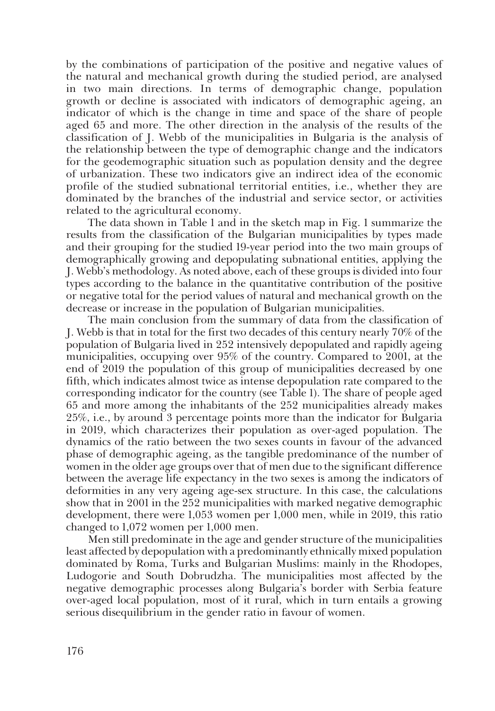by the combinations of participation of the positive and negative values of the natural and mechanical growth during the studied period, are analysed in two main directions. In terms of demographic change, population growth or decline is associated with indicators of demographic ageing, an indicator of which is the change in time and space of the share of people aged 65 and more. The other direction in the analysis of the results of the classification of J. Webb of the municipalities in Bulgaria is the analysis of the relationship between the type of demographic change and the indicators for the geodemographic situation such as population density and the degree of urbanization. These two indicators give an indirect idea of the economic profile of the studied subnational territorial entities, i.e., whether they are dominated by the branches of the industrial and service sector, or activities related to the agricultural economy.

The data shown in Table 1 and in the sketch map in Fig. 1 summarize the results from the classification of the Bulgarian municipalities by types made and their grouping for the studied 19-year period into the two main groups of demographically growing and depopulating subnational entities, applying the J. Webb's methodology. As noted above, each of these groups is divided into four types according to the balance in the quantitative contribution of the positive or negative total for the period values of natural and mechanical growth on the decrease or increase in the population of Bulgarian municipalities.

The main conclusion from the summary of data from the classification of J. Webb is that in total for the first two decades of this century nearly 70% of the population of Bulgaria lived in 252 intensively depopulated and rapidly ageing municipalities, occupying over 95% of the country. Compared to 2001, at the end of 2019 the population of this group of municipalities decreased by one fifth, which indicates almost twice as intense depopulation rate compared to the corresponding indicator for the country (see Table 1). The share of people aged 65 and more among the inhabitants of the 252 municipalities already makes 25%, i.e., by around 3 percentage points more than the indicator for Bulgaria in 2019, which characterizes their population as over-aged population. The dynamics of the ratio between the two sexes counts in favour of the advanced phase of demographic ageing, as the tangible predominance of the number of women in the older age groups over that of men due to the significant difference between the average life expectancy in the two sexes is among the indicators of deformities in any very ageing age-sex structure. In this case, the calculations show that in 2001 in the 252 municipalities with marked negative demographic development, there were 1,053 women per 1,000 men, while in 2019, this ratio changed to 1,072 women per 1,000 men.

Men still predominate in the age and gender structure of the municipalities least affected by depopulation with a predominantly ethnically mixed population dominated by Roma, Turks and Bulgarian Muslims: mainly in the Rhodopes, Ludogorie and South Dobrudzha. The municipalities most affected by the negative demographic processes along Bulgaria's border with Serbia feature over-aged local population, most of it rural, which in turn entails a growing serious disequilibrium in the gender ratio in favour of women.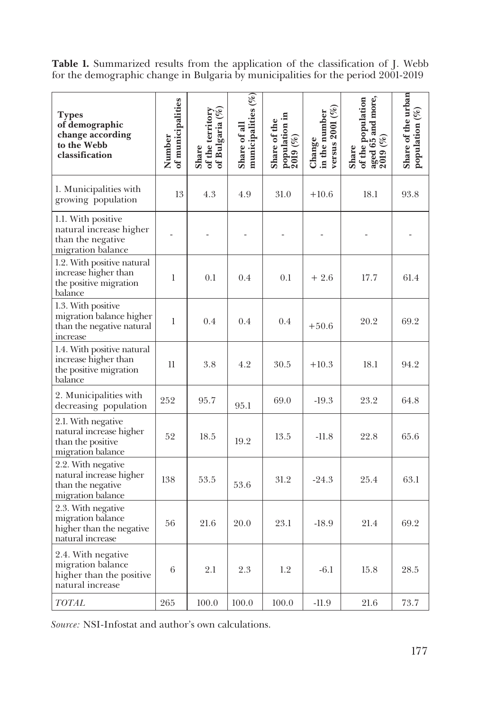**Table 1.** Summarized results from the application of the classification of J. Webb for the demographic change in Bulgaria by municipalities for the period 2001-2019

| <b>Types</b><br>of demographic<br>change according<br>to the Webb<br>classification     | of municipalities<br>Number | of Bulgaria (%)<br>of the territory<br>Share | municipalities (%)<br>Share of all | population in $2019$ $(%)$<br>Share of the | versus $2001(%$<br>in the number<br>Change | aged $6\bar{5}$ and more,<br>2019 (%)<br>of the population<br>Share | Share of the urban<br>population $(\%)$ |
|-----------------------------------------------------------------------------------------|-----------------------------|----------------------------------------------|------------------------------------|--------------------------------------------|--------------------------------------------|---------------------------------------------------------------------|-----------------------------------------|
| 1. Municipalities with<br>growing population                                            | 13                          | 4.3                                          | 4.9                                | 31.0                                       | $+10.6$                                    | 18.1                                                                | 93.8                                    |
| 1.1. With positive<br>natural increase higher<br>than the negative<br>migration balance |                             |                                              |                                    |                                            |                                            |                                                                     |                                         |
| 1.2. With positive natural<br>increase higher than<br>the positive migration<br>balance | $\mathbf{1}$                | 0.1                                          | 0.4                                | 0.1                                        | $+2.6$                                     | 17.7                                                                | 61.4                                    |
| 1.3. With positive<br>migration balance higher<br>than the negative natural<br>increase | $\mathbf{1}$                | 0.4                                          | 0.4                                | $0.4\,$                                    | $+50.6$                                    | 20.2                                                                | 69.2                                    |
| 1.4. With positive natural<br>increase higher than<br>the positive migration<br>balance | 11                          | 3.8                                          | 4.2                                | 30.5                                       | $+10.3$                                    | 18.1                                                                | 94.2                                    |
| 2. Municipalities with<br>decreasing population                                         | 252                         | 95.7                                         | 95.1                               | 69.0                                       | $-19.3$                                    | 23.2                                                                | 64.8                                    |
| 2.1. With negative<br>natural increase higher<br>than the positive<br>migration balance | 52                          | 18.5                                         | 19.2                               | 13.5                                       | $-11.8$                                    | 22.8                                                                | 65.6                                    |
| 2.2. With negative<br>natural increase higher<br>than the negative<br>migration balance | 138                         | 53.5                                         | 53.6                               | 31.2                                       | $-24.3$                                    | 25.4                                                                | 63.1                                    |
| 2.3. With negative<br>migration balance<br>higher than the negative<br>natural increase | 56                          | 21.6                                         | 20.0                               | 23.1                                       | $-18.9$                                    | 21.4                                                                | 69.2                                    |
| 2.4. With negative<br>migration balance<br>higher than the positive<br>natural increase | 6                           | 2.1                                          | 2.3                                | 1.2                                        | $-6.1$                                     | 15.8                                                                | 28.5                                    |
| TOTAL                                                                                   | 265                         | 100.0                                        | 100.0                              | 100.0                                      | $-11.9$                                    | 21.6                                                                | 73.7                                    |

*Source:* NSI-Infostat and author's own calculations.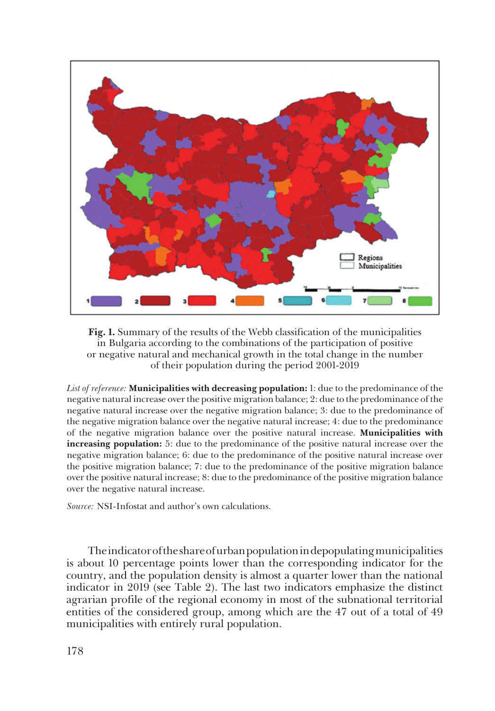

**Fig. 1.** Summary of the results of the Webb classification of the municipalities in Bulgaria according to the combinations of the participation of positive or negative natural and mechanical growth in the total change in the number of their population during the period 2001-2019

*List of reference:* **Municipalities with decreasing population:** 1: due to the predominance of the negative natural increase over the positive migration balance; 2: due to the predominance of the negative natural increase over the negative migration balance; 3: due to the predominance of the negative migration balance over the negative natural increase; 4: due to the predominance of the negative migration balance over the positive natural increase. **Municipalities with increasing population:** 5: due to the predominance of the positive natural increase over the negative migration balance; 6: due to the predominance of the positive natural increase over the positive migration balance; 7: due to the predominance of the positive migration balance over the positive natural increase; 8: due to the predominance of the positive migration balance over the negative natural increase.

*Source:* NSI-Infostat and author's own calculations.

The indicator of the share of urban population in depopulating municipalities is about 10 percentage points lower than the corresponding indicator for the country, and the population density is almost a quarter lower than the national indicator in 2019 (see Table 2). The last two indicators emphasize the distinct agrarian profile of the regional economy in most of the subnational territorial entities of the considered group, among which are the 47 out of a total of 49 municipalities with entirely rural population.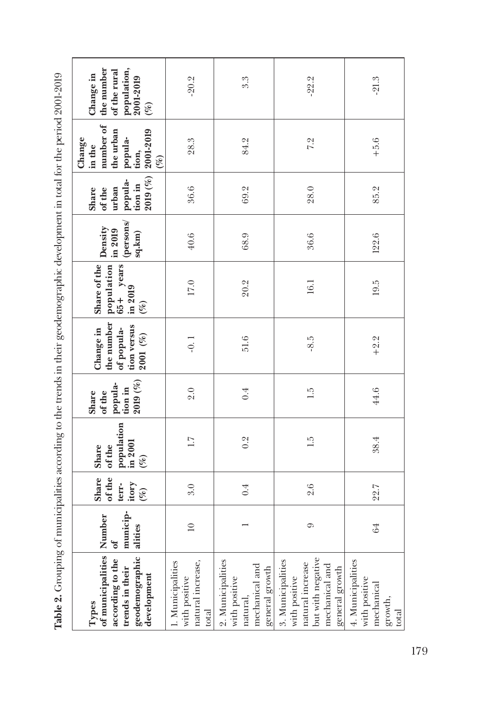| Table 2. Grouping of municipalities according to the trends in their geodemographic development in total for the period 2001-2019 |                         |                                             |                                                    |                                                  |                                                                     |                                                              |                                           |                                                           |                                                                                       |                                                                               |
|-----------------------------------------------------------------------------------------------------------------------------------|-------------------------|---------------------------------------------|----------------------------------------------------|--------------------------------------------------|---------------------------------------------------------------------|--------------------------------------------------------------|-------------------------------------------|-----------------------------------------------------------|---------------------------------------------------------------------------------------|-------------------------------------------------------------------------------|
| of municipalities Number<br>geodemographic<br>development<br>according to the<br>trends in their<br>Types                         | municip<br>alities<br>ð | of the<br>Share<br>itory<br>terr-<br>$(\%)$ | population<br>in 2001<br>of the<br>Share<br>$(\%)$ | 2019(%)<br>popula-<br>tion in<br>of the<br>Share | the number<br>tion versus<br>Change in<br>of popula-<br>$2001~(\%)$ | Share of the<br>65+ years<br>population<br>in 2019<br>$(\%)$ | (persons/<br>Density<br>in 2019<br>sq.km) | 2019(%)<br>popula-<br>tion in<br>urban<br>of the<br>Share | number of<br>the urban<br>2001-2019<br>popula-<br>Change<br>in the<br>tion,<br>$(\%)$ | the number<br>population,<br>of the rural<br>Change in<br>2001-2019<br>$(\%)$ |
| 1. Municipalities<br>natural increase,<br>with positive<br>total                                                                  | $\supseteq$             | 3.0                                         | $\overline{11}$                                    | 2.0                                              | $-0.1$                                                              | 17.0                                                         | 40.6                                      | 36.6                                                      | 28.3                                                                                  | $-20.2$                                                                       |
| 2. Municipalities<br>mechanical and<br>general growth<br>with positive<br>natural,                                                |                         | 0.4                                         | 0.2                                                | 0.4                                              | 51.6                                                                | 20.2                                                         | 68.9                                      | 69.2                                                      | 84.2                                                                                  | 3.3                                                                           |
| but with negative<br>mechanical and<br>3. Municipalities<br>natural increase<br>general growth<br>with positive                   | ా                       | 2.6                                         | 1.5                                                | 1.5                                              | $-8.5$                                                              | 16.1                                                         | 36.6                                      | 28.0                                                      | 7.2                                                                                   | $-22.2$                                                                       |
| 4. Municipalities<br>with positive<br>mechanical<br>growth,<br>total                                                              | 64                      | 22.7                                        | 38.4                                               | 44.6                                             | $+2.2$                                                              | 19.5                                                         | 122.6                                     | 85.2                                                      | $+5.6$                                                                                | $-21.3$                                                                       |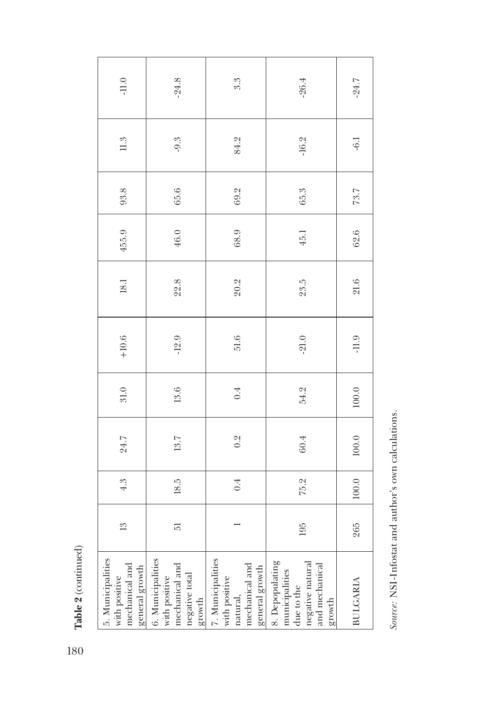Table 2 (continued) **Table 2** (continued)

| $\cdot 11.0$                                                           | $-24.8$                                                                          | 3.3                                                                                | $-26.4$                                                                                                                                                             | $-24.7$         |
|------------------------------------------------------------------------|----------------------------------------------------------------------------------|------------------------------------------------------------------------------------|---------------------------------------------------------------------------------------------------------------------------------------------------------------------|-----------------|
| 11.3                                                                   | $-9.3$                                                                           | 84.2                                                                               | $-16.2$                                                                                                                                                             | $-6.1$          |
| 93.8                                                                   | 65.6                                                                             | 69.2                                                                               | 65.3                                                                                                                                                                | 73.7            |
| 455.9                                                                  | 46.0                                                                             | 68.9                                                                               | 45.1                                                                                                                                                                | 62.6            |
| 18.1                                                                   | 22.8                                                                             | 20.2                                                                               | 23.5                                                                                                                                                                | 21.6            |
| $+10.6$                                                                | $-12.9$                                                                          | 51.6                                                                               | $-21.0$                                                                                                                                                             | $-11.9$         |
| $31.0\,$                                                               | $13.6\,$                                                                         | 0.4                                                                                | 54.2                                                                                                                                                                | $100.0$         |
| 24.7                                                                   | 13.7                                                                             | 0.2                                                                                | $60.4\,$                                                                                                                                                            | 100.0           |
| 4.3                                                                    | 18.5                                                                             | 0.4                                                                                | 75.2                                                                                                                                                                | 100.0           |
| $\frac{3}{2}$                                                          | 51                                                                               |                                                                                    | 195                                                                                                                                                                 | 265             |
| 5. Municipalities<br>mechanical and<br>general growth<br>with positive | 6. Municipalities<br>with positive<br>mechanical and<br>negative total<br>growth | 7. Municipalities<br>with positive<br>natural,<br>mechanical and<br>general growth | $\begin{tabular}{l} \bf 8. \textit{Depplating} \\ \bf{municipalities} \\ \bf{due to the} \\ \bf{regative \textit{natural}} \\ \bf{mghm} \\ \end{tabular}$<br>growth | <b>BULGARIA</b> |

Source: NSI-Infostat and author's own calculations. *Source:* NSI-Infostat and author's own calculations.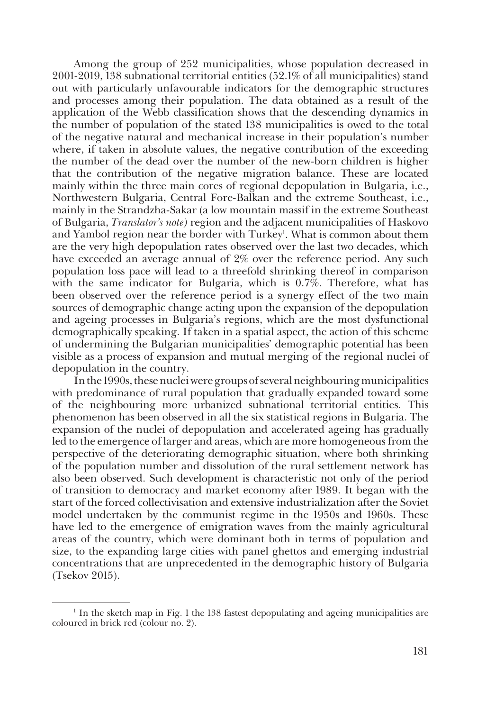Among the group of 252 municipalities, whose population decreased in 2001-2019, 138 subnational territorial entities (52.1% of all municipalities) stand out with particularly unfavourable indicators for the demographic structures and processes among their population. The data obtained as a result of the application of the Webb classification shows that the descending dynamics in the number of population of the stated 138 municipalities is owed to the total of the negative natural and mechanical increase in their population's number where, if taken in absolute values, the negative contribution of the exceeding the number of the dead over the number of the new-born children is higher that the contribution of the negative migration balance. These are located mainly within the three main cores of regional depopulation in Bulgaria, i.e., Northwestern Bulgaria, Central Fore-Balkan and the extreme Southeast, i.e., mainly in the Strandzha-Sakar (a low mountain massif in the extreme Southeast of Bulgaria, *Translator's note)* region and the adjacent municipalities of Haskovo and Yambol region near the border with Turkey<sup>1</sup>. What is common about them are the very high depopulation rates observed over the last two decades, which have exceeded an average annual of 2% over the reference period. Any such population loss pace will lead to a threefold shrinking thereof in comparison with the same indicator for Bulgaria, which is 0.7%. Therefore, what has been observed over the reference period is a synergy effect of the two main sources of demographic change acting upon the expansion of the depopulation and ageing processes in Bulgaria's regions, which are the most dysfunctional demographically speaking. If taken in a spatial aspect, the action of this scheme of undermining the Bulgarian municipalities' demographic potential has been visible as a process of expansion and mutual merging of the regional nuclei of depopulation in the country.

In the 1990s, these nuclei were groups of several neighbouring municipalities with predominance of rural population that gradually expanded toward some of the neighbouring more urbanized subnational territorial entities. This phenomenon has been observed in all the six statistical regions in Bulgaria. The expansion of the nuclei of depopulation and accelerated ageing has gradually led to the emergence of larger and areas, which are more homogeneous from the perspective of the deteriorating demographic situation, where both shrinking of the population number and dissolution of the rural settlement network has also been observed. Such development is characteristic not only of the period of transition to democracy and market economy after 1989. It began with the start of the forced collectivisation and extensive industrialization after the Soviet model undertaken by the communist regime in the 1950s and 1960s. These have led to the emergence of emigration waves from the mainly agricultural areas of the country, which were dominant both in terms of population and size, to the expanding large cities with panel ghettos and emerging industrial concentrations that are unprecedented in the demographic history of Bulgaria (Tsekov 2015).

<sup>1</sup> In the sketch map in Fig. 1 the 138 fastest depopulating and ageing municipalities are coloured in brick red (colour no. 2).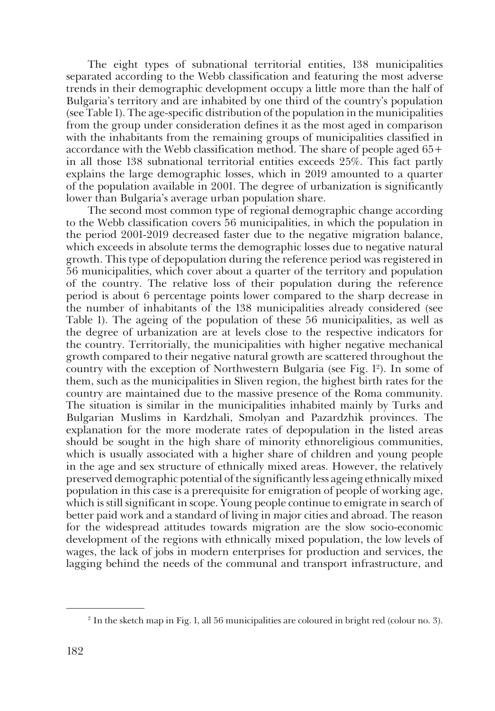The eight types of subnational territorial entities, 138 municipalities separated according to the Webb classification and featuring the most adverse trends in their demographic development occupy a little more than the half of Bulgaria's territory and are inhabited by one third of the country's population (see Table 1). The age-specific distribution of the population in the municipalities from the group under consideration defines it as the most aged in comparison with the inhabitants from the remaining groups of municipalities classified in accordance with the Webb classification method. The share of people aged 65+ in all those 138 subnational territorial entities exceeds 25%. This fact partly explains the large demographic losses, which in 2019 amounted to a quarter of the population available in 2001. The degree of urbanization is significantly lower than Bulgaria's average urban population share.

The second most common type of regional demographic change according to the Webb classification covers 56 municipalities, in which the population in the period 2001-2019 decreased faster due to the negative migration balance, which exceeds in absolute terms the demographic losses due to negative natural growth. This type of depopulation during the reference period was registered in 56 municipalities, which cover about a quarter of the territory and population of the country. The relative loss of their population during the reference period is about 6 percentage points lower compared to the sharp decrease in the number of inhabitants of the 138 municipalities already considered (see Table 1). The ageing of the population of these 56 municipalities, as well as the degree of urbanization are at levels close to the respective indicators for the country. Territorially, the municipalities with higher negative mechanical growth compared to their negative natural growth are scattered throughout the country with the exception of Northwestern Bulgaria (see Fig. 12 ). In some of them, such as the municipalities in Sliven region, the highest birth rates for the country are maintained due to the massive presence of the Roma community. The situation is similar in the municipalities inhabited mainly by Turks and Bulgarian Muslims in Kardzhali, Smolyan and Pazardzhik provinces. The explanation for the more moderate rates of depopulation in the listed areas should be sought in the high share of minority ethnoreligious communities, which is usually associated with a higher share of children and young people in the age and sex structure of ethnically mixed areas. However, the relatively preserved demographic potential of the significantly less ageing ethnically mixed population in this case is a prerequisite for emigration of people of working age, which is still significant in scope. Young people continue to emigrate in search of better paid work and a standard of living in major cities and abroad. The reason for the widespread attitudes towards migration are the slow socio-economic development of the regions with ethnically mixed population, the low levels of wages, the lack of jobs in modern enterprises for production and services, the lagging behind the needs of the communal and transport infrastructure, and

<sup>2</sup> In the sketch map in Fig. 1, all 56 municipalities are coloured in bright red (colour no. 3).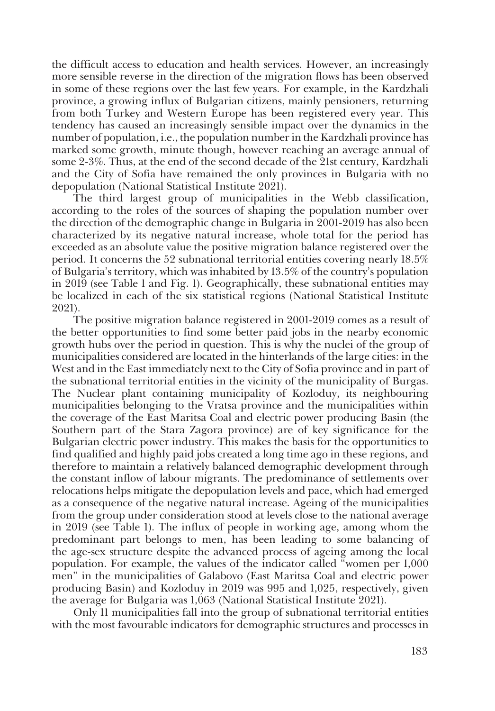the difficult access to education and health services. However, an increasingly more sensible reverse in the direction of the migration flows has been observed in some of these regions over the last few years. For example, in the Kardzhali province, a growing influx of Bulgarian citizens, mainly pensioners, returning from both Turkey and Western Europe has been registered every year. This tendency has caused an increasingly sensible impact over the dynamics in the number of population, i.e., the population number in the Kardzhali province has marked some growth, minute though, however reaching an average annual of some 2-3%. Thus, at the end of the second decade of the 21st century, Kardzhali and the City of Sofia have remained the only provinces in Bulgaria with no depopulation (National Statistical Institute 2021).

The third largest group of municipalities in the Webb classification, according to the roles of the sources of shaping the population number over the direction of the demographic change in Bulgaria in 2001-2019 has also been characterized by its negative natural increase, whole total for the period has exceeded as an absolute value the positive migration balance registered over the period. It concerns the 52 subnational territorial entities covering nearly 18.5% of Bulgaria's territory, which was inhabited by 13.5% of the country's population in 2019 (see Table 1 and Fig. 1). Geographically, these subnational entities may be localized in each of the six statistical regions (National Statistical Institute 2021).

The positive migration balance registered in 2001-2019 comes as a result of the better opportunities to find some better paid jobs in the nearby economic growth hubs over the period in question. This is why the nuclei of the group of municipalities considered are located in the hinterlands of the large cities: in the West and in the East immediately next to the City of Sofia province and in part of the subnational territorial entities in the vicinity of the municipality of Burgas. The Nuclear plant containing municipality of Kozloduy, its neighbouring municipalities belonging to the Vratsa province and the municipalities within the coverage of the East Maritsa Coal and electric power producing Basin (the Southern part of the Stara Zagora province) are of key significance for the Bulgarian electric power industry. This makes the basis for the opportunities to find qualified and highly paid jobs created a long time ago in these regions, and therefore to maintain a relatively balanced demographic development through the constant inflow of labour migrants. The predominance of settlements over relocations helps mitigate the depopulation levels and pace, which had emerged as a consequence of the negative natural increase. Ageing of the municipalities from the group under consideration stood at levels close to the national average in 2019 (see Table 1). The influx of people in working age, among whom the predominant part belongs to men, has been leading to some balancing of the age-sex structure despite the advanced process of ageing among the local population. For example, the values of the indicator called "women per 1,000 men" in the municipalities of Galabovo (East Maritsa Coal and electric power producing Basin) and Kozloduy in 2019 was 995 and 1,025, respectively, given the average for Bulgaria was 1,063 (National Statistical Institute 2021).

Only 11 municipalities fall into the group of subnational territorial entities with the most favourable indicators for demographic structures and processes in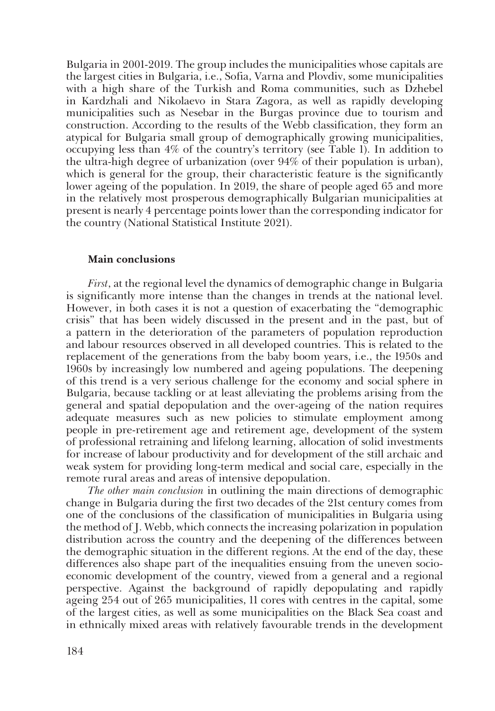Bulgaria in 2001-2019. The group includes the municipalities whose capitals are the largest cities in Bulgaria, i.e., Sofia, Varna and Plovdiv, some municipalities with a high share of the Turkish and Roma communities, such as Dzhebel in Kardzhali and Nikolaevo in Stara Zagora, as well as rapidly developing municipalities such as Nesebar in the Burgas province due to tourism and construction. According to the results of the Webb classification, they form an atypical for Bulgaria small group of demographically growing municipalities, occupying less than 4% of the country's territory (see Table 1). In addition to the ultra-high degree of urbanization (over 94% of their population is urban), which is general for the group, their characteristic feature is the significantly lower ageing of the population. In 2019, the share of people aged 65 and more in the relatively most prosperous demographically Bulgarian municipalities at present is nearly 4 percentage points lower than the corresponding indicator for the country (National Statistical Institute 2021).

## **Main conclusions**

*First*, at the regional level the dynamics of demographic change in Bulgaria is significantly more intense than the changes in trends at the national level. However, in both cases it is not a question of exacerbating the "demographic crisis" that has been widely discussed in the present and in the past, but of a pattern in the deterioration of the parameters of population reproduction and labour resources observed in all developed countries. This is related to the replacement of the generations from the baby boom years, i.e., the 1950s and 1960s by increasingly low numbered and ageing populations. The deepening of this trend is a very serious challenge for the economy and social sphere in Bulgaria, because tackling or at least alleviating the problems arising from the general and spatial depopulation and the over-ageing of the nation requires adequate measures such as new policies to stimulate employment among people in pre-retirement age and retirement age, development of the system of professional retraining and lifelong learning, allocation of solid investments for increase of labour productivity and for development of the still archaic and weak system for providing long-term medical and social care, especially in the remote rural areas and areas of intensive depopulation.

*The other main conclusion* in outlining the main directions of demographic change in Bulgaria during the first two decades of the 21st century comes from one of the conclusions of the classification of municipalities in Bulgaria using the method of J. Webb, which connects the increasing polarization in population distribution across the country and the deepening of the differences between the demographic situation in the different regions. At the end of the day, these differences also shape part of the inequalities ensuing from the uneven socioeconomic development of the country, viewed from a general and a regional perspective. Against the background of rapidly depopulating and rapidly ageing 254 out of 265 municipalities, 11 cores with centres in the capital, some of the largest cities, as well as some municipalities on the Black Sea coast and in ethnically mixed areas with relatively favourable trends in the development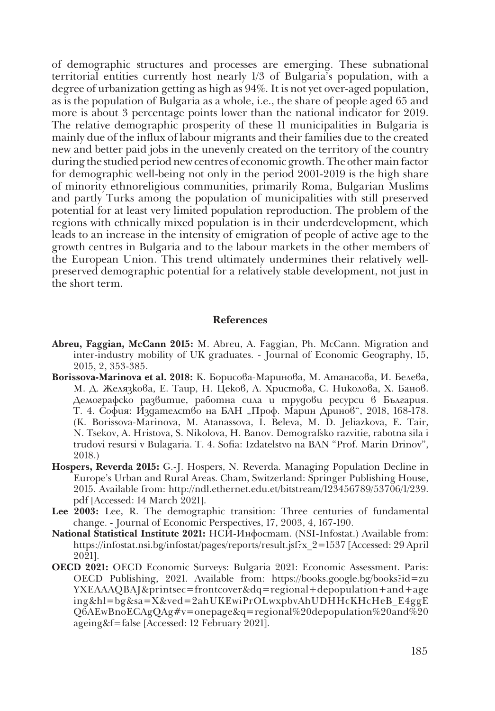of demographic structures and processes are emerging. These subnational territorial entities currently host nearly 1/3 of Bulgaria's population, with a degree of urbanization getting as high as 94%. It is not yet over-aged population, as is the population of Bulgaria as a whole, i.e., the share of people aged 65 and more is about 3 percentage points lower than the national indicator for 2019. The relative demographic prosperity of these 11 municipalities in Bulgaria is mainly due of the influx of labour migrants and their families due to the created new and better paid jobs in the unevenly created on the territory of the country during the studied period new centres of economic growth. The other main factor for demographic well-being not only in the period 2001-2019 is the high share of minority ethnoreligious communities, primarily Roma, Bulgarian Muslims and partly Turks among the population of municipalities with still preserved potential for at least very limited population reproduction. The problem of the regions with ethnically mixed population is in their underdevelopment, which leads to an increase in the intensity of emigration of people of active age to the growth centres in Bulgaria and to the labour markets in the other members of the European Union. This trend ultimately undermines their relatively wellpreserved demographic potential for a relatively stable development, not just in the short term.

#### **References**

- **Abreu, Faggian, McCann 2015:** M. Abreu, A. Faggian, Ph. McCann. Migration and inter-industry mobility of UK graduates. - Journal of Economic Geography, 15, 2015, 2, 353-385.
- **Borissova-Marinova et al. 2018:** К. Борисова-Маринова, М. Атанасова, И. Белева, М. Д. Желязкова, Е. Таир, Н. Цеков, А. Христова, С. Николова, Х. Банов. Демографско развитие, работна сила и трудови ресурси в България. Т. 4. София: Издателство на БАН "Проф. Марин Дринов", 2018, 168-178. (K. Borissova-Marinova, M. Atanassova, I. Beleva, M. D. Jeliazkova, E. Tair, N. Tsekov, A. Hristova, S. Nikolova, H. Banov. Demografsko razvitie, rabotna sila i trudovi resursi v Bulagaria. T. 4. Sofia: Izdatelstvo na BAN "Prof. Marin Drinov", 2018.)
- **Hospers, Reverda 2015:** G.-J. Hospers, N. Reverda. Managing Population Decline in Europe's Urban and Rural Areas. Cham, Switzerland: Springer Publishing House, 2015. Available from: http://ndl.ethernet.edu.et/bitstream/123456789/53706/1/239. pdf [Accessed: 14 March 2021].
- **Lee 2003:** Lee, R. The demographic transition: Three centuries of fundamental change. - Journal of Economic Perspectives, 17, 2003, 4, 167-190.
- **National Statistical Institute 2021:** НСИ-Инфостат. (NSI-Infostat.) Available from: https://infostat.nsi.bg/infostat/pages/reports/result.jsf?x\_2=1537 [Accessed: 29 April 2021].
- **OECD 2021:** OECD Economic Surveys: Bulgaria 2021: Economic Assessment. Paris: OECD Publishing, 2021. Available from: https://books.google.bg/books?id=zu YXEAAAQBAJ&printsec=frontcover&dq=regional+depopulation+and+age ing&hl=bg&sa=X&ved=2ahUKEwiPrOLwxpbvAhUDHHcKHcHeB\_E4ggE Q6AEwBnoECAgQAg#v=onepage&q=regional%20depopulation%20and%20 ageing&f=false [Accessed: 12 February 2021].